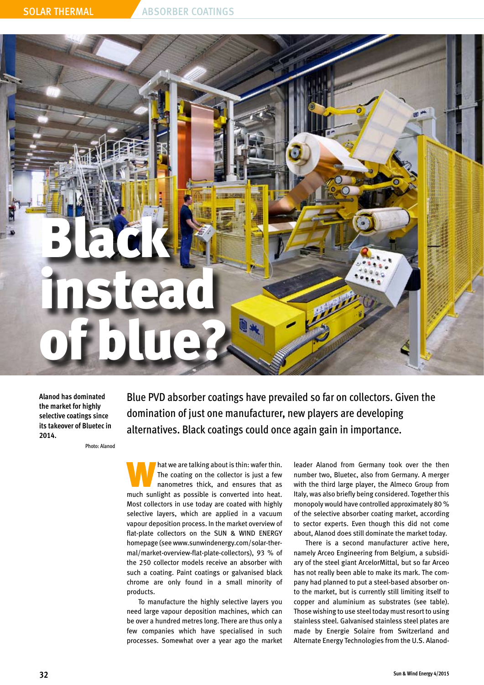

**Alanod has dominated the market for highly selective coatings since its takeover of Bluetec in 2014.** 

Photo: Alanod

Blue PVD absorber coatings have prevailed so far on collectors. Given the domination of just one manufacturer, new players are developing alternatives. Black coatings could once again gain in importance.

What we are talking about is thin: wafer thin.<br>
The coating on the collector is just a few<br>
nanometres thick, and ensures that as<br>
much surlight as a possible is converted into bot The coating on the collector is just a few much sunlight as possible is converted into heat. Most collectors in use today are coated with highly selective layers, which are applied in a vacuum vapour deposition process. In the market overview of flat-plate collectors on the SUN & WIND ENERGY homepage (see www.sunwindenergy.com/solar-thermal/market-overview-flat-plate-collectors), 93 % of the 250 collector models receive an absorber with such a coating. Paint coatings or galvanised black chrome are only found in a small minority of products.

To manufacture the highly selective layers you need large vapour deposition machines, which can be over a hundred metres long. There are thus only a few companies which have specialised in such processes. Somewhat over a year ago the market leader Alanod from Germany took over the then number two, Bluetec, also from Germany. A merger with the third large player, the Almeco Group from Italy, was also briefly being considered. Together this monopoly would have controlled approximately 80 % of the selective absorber coating market, according to sector experts. Even though this did not come about, Alanod does still dominate the market today.

There is a second manufacturer active here, namely Arceo Engineering from Belgium, a subsidiary of the steel giant ArcelorMittal, but so far Arceo has not really been able to make its mark. The company had planned to put a steel-based absorber onto the market, but is currently still limiting itself to copper and aluminium as substrates (see table). Those wishing to use steel today must resort to using stainless steel. Galvanised stainless steel plates are made by Energie Solaire from Switzerland and Alternate Energy Technologies from the U.S. Alanod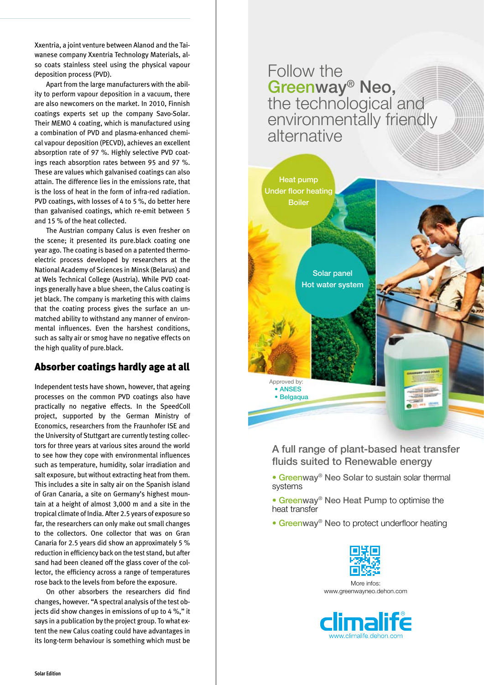Xxentria, a joint venture between Alanod and the Taiwanese company Xxentria Technology Materials, also coats stainless steel using the physical vapour deposition process (PVD).

Apart from the large manufacturers with the ability to perform vapour deposition in a vacuum, there are also newcomers on the market. In 2010, Finnish coatings experts set up the company Savo-Solar. Their MEMO 4 coating, which is manufactured using a combination of PVD and plasma-enhanced chemical vapour deposition (PECVD), achieves an excellent absorption rate of 97 %. Highly selective PVD coatings reach absorption rates between 95 and 97 %. These are values which galvanised coatings can also attain. The difference lies in the emissions rate, that is the loss of heat in the form of infra-red radiation. PVD coatings, with losses of 4 to 5 %, do better here than galvanised coatings, which re-emit between 5 and 15 % of the heat collected.

The Austrian company Calus is even fresher on the scene; it presented its pure.black coating one year ago. The coating is based on a patented thermoelectric process developed by researchers at the National Academy of Sciences in Minsk (Belarus) and at Wels Technical College (Austria). While PVD coatings generally have a blue sheen, the Calus coating is jet black. The company is marketing this with claims that the coating process gives the surface an unmatched ability to withstand any manner of environmental influences. Even the harshest conditions, such as salty air or smog have no negative effects on the high quality of pure.black.

### Absorber coatings hardly age at all

Independent tests have shown, however, that ageing processes on the common PVD coatings also have practically no negative effects. In the SpeedColl project, supported by the German Ministry of Economics, researchers from the Fraunhofer ISE and the University of Stuttgart are currently testing collectors for three years at various sites around the world to see how they cope with environmental influences such as temperature, humidity, solar irradiation and salt exposure, but without extracting heat from them. This includes a site in salty air on the Spanish island of Gran Canaria, a site on Germany's highest mountain at a height of almost 3,000 m and a site in the tropical climate of India. After 2.5 years of exposure so far, the researchers can only make out small changes to the collectors. One collector that was on Gran Canaria for 2.5 years did show an approximately 5 % reduction in efficiency back on the test stand, but after sand had been cleaned off the glass cover of the collector, the efficiency across a range of temperatures rose back to the levels from before the exposure.

On other absorbers the researchers did find changes, however. "A spectral analysis of the test objects did show changes in emissions of up to 4 %," it says in a publication by the project group. To what extent the new Calus coating could have advantages in its long-term behaviour is something which must be





A full range of plant-based heat transfer fluids suited to Renewable energy

- Greenway® Neo Solar to sustain solar thermal systems
- Greenway® Neo Heat Pump to optimise the heat transfer
- Greenway® Neo to protect underfloor heating



More infos. www.greenwayneo.dehon.com

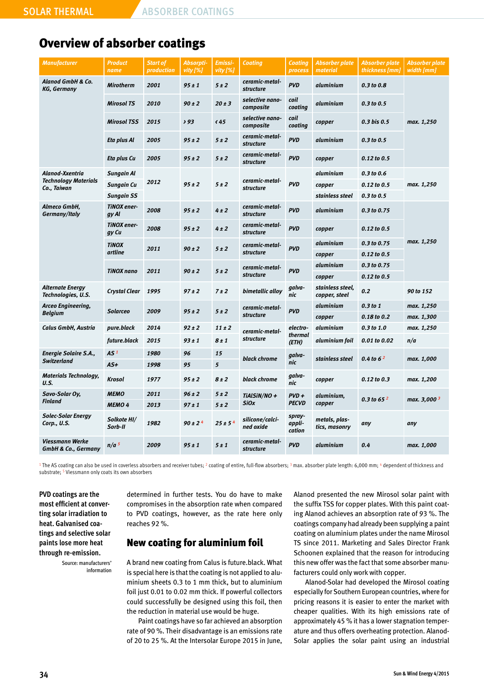## Overview of absorber coatings

| <b>Manufacturer</b>                                           | <b>Product</b><br>name      | <b>Start of</b><br>production | Absorpti-<br>vity [%] | Emissi-<br>vity [%] | <b>Coating</b>                     | Coating<br>process           | <b>Absorber plate</b><br>material | <b>Absorber plate</b><br>thickness [mm] | Absorber plate<br>width [mm] |
|---------------------------------------------------------------|-----------------------------|-------------------------------|-----------------------|---------------------|------------------------------------|------------------------------|-----------------------------------|-----------------------------------------|------------------------------|
| <b>Alanod GmbH &amp; Co.</b><br>KG, Germany                   | <b>Mirotherm</b>            | 2001                          | $95 \pm 1$            | 5±2                 | ceramic-metal-<br>structure        | <b>PVD</b>                   | aluminium                         | $0.3$ to $0.8$                          | max. 1,250                   |
|                                                               | <b>Mirosol TS</b>           | 2010                          | $90 \pm 2$            | $20 \pm 3$          | selective nano-<br>composite       | coil<br>coating              | aluminium                         | $0.3$ to $0.5$                          |                              |
|                                                               | <b>Mirosol TSS</b>          | 2015                          | 293                   | $\langle 45$        | selective nano-<br>composite       | coil<br>coating              | copper                            | 0.3 bis 0.5                             |                              |
|                                                               | Eta plus Al                 | 2005                          | $95 \pm 2$            | 5±2                 | ceramic-metal-<br><b>structure</b> | <b>PVD</b>                   | aluminium                         | 0.3 to 0.5                              |                              |
|                                                               | Eta plus Cu                 | 2005                          | $95 \pm 2$            | 5±2                 | ceramic-metal-<br><i>structure</i> | <b>PVD</b>                   | copper                            | $0.12$ to $0.5$                         |                              |
| Alanod-Xxentria<br><b>Technology Materials</b><br>Co., Taiwan | Sungain Al                  |                               | $95 \pm 2$            | 5±2                 | ceramic-metal-<br><b>structure</b> | <b>PVD</b>                   | aluminium                         | $0.3$ to $0.6$                          | max. 1,250                   |
|                                                               | Sungain Cu                  | 2012                          |                       |                     |                                    |                              | copper                            | $0.12$ to $0.5$                         |                              |
|                                                               | <b>Sungain SS</b>           |                               |                       |                     |                                    |                              | stainless steel                   | $0.3$ to 0.5                            |                              |
| Almeco GmbH,<br>Germany/Italy                                 | <b>TINOX</b> ener-<br>gy Al | 2008                          | $95 \pm 2$            | 4±2                 | ceramic-metal-<br><b>structure</b> | <b>PVD</b>                   | aluminium                         | 0.3 to 0.75                             | max. 1,250                   |
|                                                               | <b>TINOX</b> ener-<br>gy Cu | 2008                          | $95 \pm 2$            | $4 \pm 2$           | ceramic-metal-<br>structure        | <b>PVD</b>                   | copper                            | 0.12 to 0.5                             |                              |
|                                                               | <b>TINOX</b><br>artline     | 2011                          | $90 \pm 2$            | 5±2                 | ceramic-metal-<br><b>structure</b> | <b>PVD</b>                   | aluminium                         | 0.3 to 0.75                             |                              |
|                                                               |                             |                               |                       |                     |                                    |                              | copper                            | $0.12$ to $0.5$                         |                              |
|                                                               | <b>TINOX nano</b>           | 2011                          | $90 \pm 2$            | 5±2                 | ceramic-metal-<br><b>structure</b> | <b>PVD</b>                   | aluminium                         | 0.3 to 0.75                             |                              |
|                                                               |                             |                               |                       |                     |                                    |                              | copper                            | 0.12 to 0.5                             |                              |
| <b>Alternate Energy</b><br>Technologies, U.S.                 | Crystal Clear               | 1995                          | $97 \pm 2$            | 7±2                 | bimetallic alloy                   | galva-<br>nic                | stainless steel,<br>copper, steel | 0.2                                     | 90 to 152                    |
| Arceo Engineering,<br><b>Belgium</b>                          | <b>Solarceo</b>             | 2009                          | $95 \pm 2$            | 5±2                 | ceramic-metal-<br><b>structure</b> | <b>PVD</b>                   | aluminium                         | $0.3$ to 1                              | max. 1,250                   |
|                                                               |                             |                               |                       |                     |                                    |                              | copper                            | 0.18 to 0.2                             | max. 1,300                   |
| Calus GmbH, Austria                                           | pure.black                  | 2014                          | $92 \pm 2$            | $11 \pm 2$          | ceramic-metal-<br><b>structure</b> | electro-<br>thermal<br>(ETH) | aluminium                         | $0.3$ to $1.0$                          | max. 1,250                   |
|                                                               | future.black                | 2015                          | 93 ± 1                | $8 \pm 1$           |                                    |                              | aluminium foil                    | 0.01 to 0.02                            | n/a                          |
| <b>Energie Solaire S.A.,</b><br><b>Switzerland</b>            | AS <sup>1</sup>             | 1980                          | 96                    | 15                  | black chrome                       | galva-<br>nic                | stainless steel                   | 0.4 to $6^2$                            | max. 1,000                   |
|                                                               | $AS+$                       | 1998                          | 95                    | 5                   |                                    |                              |                                   |                                         |                              |
| <b>Materials Technology,</b><br>U.S.                          | <b>Krosol</b>               | 1977                          | $95 \pm 2$            | $8 \pm 2$           | black chrome                       | galva-<br>nic                | copper                            | $0.12$ to $0.3$                         | max. 1,200                   |
| Savo-Solar Oy,<br><b>Finland</b>                              | <b>МЕМО</b>                 | 2011                          | $96 \pm 2$            | 5±2                 | TIAISIN/NO +<br><b>SiOx</b>        | $PVD +$<br><b>PECVD</b>      | aluminium,<br>copper              | 0.3 to 65 $2$                           | max. 3,000 <sup>3</sup>      |
|                                                               | <b>MEMO 4</b>               | 2013                          | $97 \pm 1$            | 5±2                 |                                    |                              |                                   |                                         |                              |
| <b>Solec-Solar Energy</b><br>Corp., U.S.                      | Solkote HI/<br>Sorb-II      | 1982                          | $90 \pm 2^{4}$        | $25 \pm 54$         | silicone/calci-<br>ned oxide       | spray-<br>appli-<br>cation   | metals, plas-<br>tics, masonry    | any                                     | any                          |
| Viessmann Werke<br><b>GmbH &amp; Co., Germany</b>             | n/a <sup>5</sup>            | 2009                          | $95 \pm 1$            | 5±1                 | ceramic-metal-<br><b>structure</b> | <b>PVD</b>                   | aluminium                         | 0.4                                     | max. 1,000                   |

<sup>1</sup> The AS coating can also be used in coverless absorbers and receiver tubes; <sup>2</sup> coating of entire, full-flow absorbers; <sup>3</sup> max. absorber plate length: 6,000 mm; <sup>4</sup> dependent of thickness and substrate; <sup>5</sup> Viessmann only coats its own absorbers

**PVD coatings are the most efficient at converting solar irradiation to heat. Galvanised coatings and selective solar paints lose more heat through re-emission.** 

> Source: manufacturers' information

determined in further tests. You do have to make compromises in the absorption rate when compared to PVD coatings, however, as the rate here only reaches 92 %.

### New coating for aluminium foil

A brand new coating from Calus is future.black. What is special here is that the coating is not applied to aluminium sheets 0.3 to 1 mm thick, but to aluminium foil just 0.01 to 0.02 mm thick. If powerful collectors could successfully be designed using this foil, then the reduction in material use would be huge.

Paint coatings have so far achieved an absorption rate of 90 %. Their disadvantage is an emissions rate of 20 to 25 %. At the Intersolar Europe 2015 in June,

Alanod presented the new Mirosol solar paint with the suffix TSS for copper plates. With this paint coating Alanod achieves an absorption rate of 93 %. The coatings company had already been supplying a paint coating on aluminium plates under the name Mirosol TS since 2011. Marketing and Sales Director Frank Schoonen explained that the reason for introducing this new offer was the fact that some absorber manufacturers could only work with copper.

Alanod-Solar had developed the Mirosol coating especially for Southern European countries, where for pricing reasons it is easier to enter the market with cheaper qualities. With its high emissions rate of approximately 45 % it has a lower stagnation temperature and thus offers overheating protection. Alanod-Solar applies the solar paint using an industrial